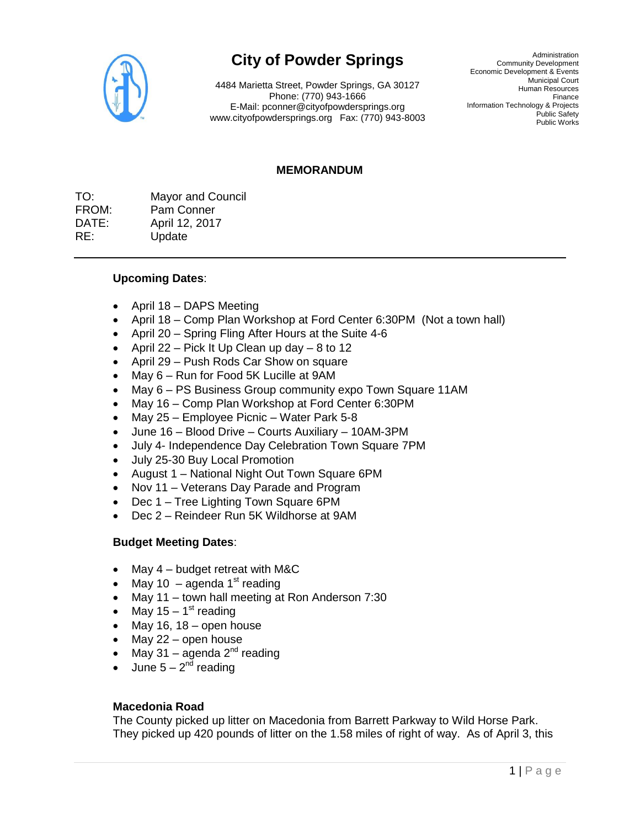

# **City of Powder Springs**

4484 Marietta Street, Powder Springs, GA 30127 Phone: (770) 943-1666 E-Mail: pconner@cityofpowdersprings.org www.cityofpowdersprings.org Fax: (770) 943-8003

Administration Community Development Economic Development & Events Municipal Court Human Resources Finance Information Technology & Projects Public Safety Public Works

## **MEMORANDUM**

TO: Mayor and Council FROM: Pam Conner DATE: April 12, 2017 RE: Update

## **Upcoming Dates**:

- $\bullet$  April 18 DAPS Meeting
- April 18 Comp Plan Workshop at Ford Center 6:30PM (Not a town hall)
- April 20 Spring Fling After Hours at the Suite 4-6
- April 22 Pick It Up Clean up day 8 to 12
- April 29 Push Rods Car Show on square
- May 6 Run for Food 5K Lucille at 9AM
- May 6 PS Business Group community expo Town Square 11AM
- May 16 Comp Plan Workshop at Ford Center 6:30PM
- May 25 Employee Picnic Water Park 5-8
- June 16 Blood Drive Courts Auxiliary 10AM-3PM
- July 4- Independence Day Celebration Town Square 7PM
- July 25-30 Buy Local Promotion
- August 1 National Night Out Town Square 6PM
- Nov 11 Veterans Day Parade and Program
- Dec 1 Tree Lighting Town Square 6PM
- Dec 2 Reindeer Run 5K Wildhorse at 9AM

### **Budget Meeting Dates**:

- May 4 budget retreat with M&C
- May 10 agenda  $1<sup>st</sup>$  reading
- May 11 town hall meeting at Ron Anderson 7:30
- May 15 1<sup>st</sup> reading
- $\bullet$  May 16, 18 open house
- May 22 open house
- May 31 agenda  $2^{nd}$  reading
- June  $5 2<sup>nd</sup>$  reading

### **Macedonia Road**

The County picked up litter on Macedonia from Barrett Parkway to Wild Horse Park. They picked up 420 pounds of litter on the 1.58 miles of right of way. As of April 3, this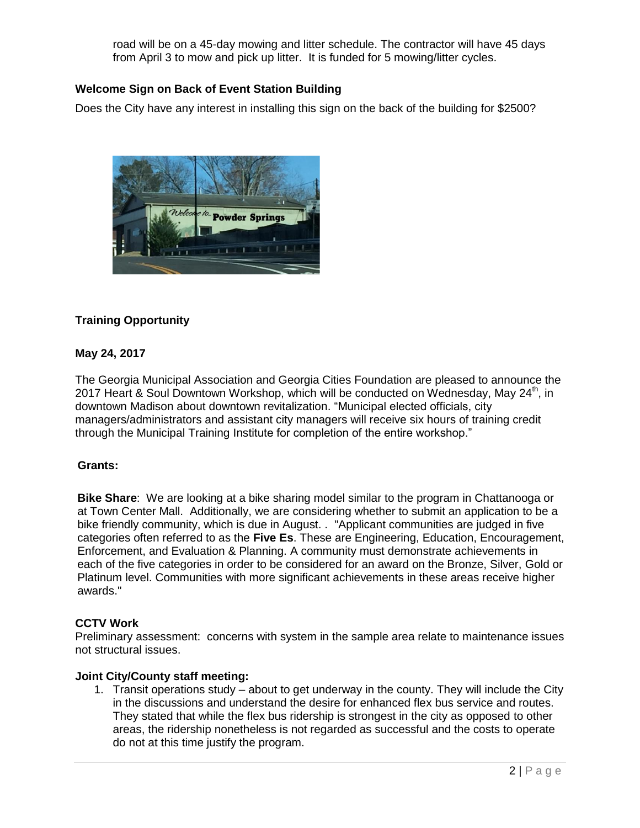road will be on a 45-day mowing and litter schedule. The contractor will have 45 days from April 3 to mow and pick up litter. It is funded for 5 mowing/litter cycles.

# **Welcome Sign on Back of Event Station Building**

Does the City have any interest in installing this sign on the back of the building for \$2500?



# **Training Opportunity**

# **May 24, 2017**

The Georgia Municipal Association and Georgia Cities Foundation are pleased to announce the 2017 Heart & Soul Downtown Workshop, which will be conducted on Wednesday, May  $24^{\text{th}}$ , in downtown Madison about downtown revitalization. "Municipal elected officials, city managers/administrators and assistant city managers will receive six hours of training credit through the Municipal Training Institute for completion of the entire workshop."

# **Grants:**

**Bike Share**: We are looking at a bike sharing model similar to the program in Chattanooga or at Town Center Mall. Additionally, we are considering whether to submit an application to be a bike friendly community, which is due in August. . "Applicant communities are judged in five categories often referred to as the **[Five Es](http://www.bikeleague.org/content/5-es)**. These are Engineering, Education, Encouragement, Enforcement, and Evaluation & Planning. A community must demonstrate achievements in each of the five categories in order to be considered for an award on the Bronze, Silver, Gold or Platinum level. Communities with more significant achievements in these areas receive higher awards."

# **CCTV Work**

Preliminary assessment: concerns with system in the sample area relate to maintenance issues not structural issues.

#### **Joint City/County staff meeting:**

1. Transit operations study – about to get underway in the county. They will include the City in the discussions and understand the desire for enhanced flex bus service and routes. They stated that while the flex bus ridership is strongest in the city as opposed to other areas, the ridership nonetheless is not regarded as successful and the costs to operate do not at this time justify the program.